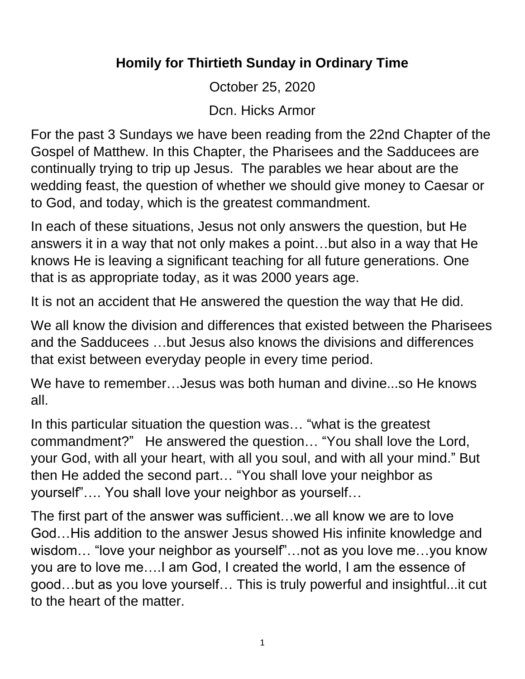## **Homily for Thirtieth Sunday in Ordinary Time**

October 25, 2020

Dcn. Hicks Armor

For the past 3 Sundays we have been reading from the 22nd Chapter of the Gospel of Matthew. In this Chapter, the Pharisees and the Sadducees are continually trying to trip up Jesus. The parables we hear about are the wedding feast, the question of whether we should give money to Caesar or to God, and today, which is the greatest commandment.

In each of these situations, Jesus not only answers the question, but He answers it in a way that not only makes a point…but also in a way that He knows He is leaving a significant teaching for all future generations. One that is as appropriate today, as it was 2000 years age.

It is not an accident that He answered the question the way that He did.

We all know the division and differences that existed between the Pharisees and the Sadducees …but Jesus also knows the divisions and differences that exist between everyday people in every time period.

We have to remember…Jesus was both human and divine...so He knows all.

In this particular situation the question was… "what is the greatest commandment?" He answered the question… "You shall love the Lord, your God, with all your heart, with all you soul, and with all your mind." But then He added the second part… "You shall love your neighbor as yourself"…. You shall love your neighbor as yourself…

The first part of the answer was sufficient…we all know we are to love God…His addition to the answer Jesus showed His infinite knowledge and wisdom… "love your neighbor as yourself"…not as you love me…you know you are to love me….I am God, I created the world, I am the essence of good…but as you love yourself… This is truly powerful and insightful...it cut to the heart of the matter.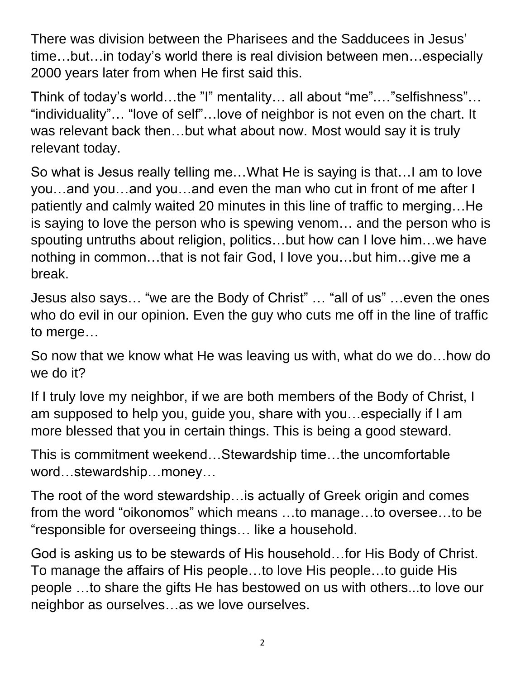There was division between the Pharisees and the Sadducees in Jesus' time…but…in today's world there is real division between men…especially 2000 years later from when He first said this.

Think of today's world…the "I" mentality… all about "me".…"selfishness"… "individuality"… "love of self"…love of neighbor is not even on the chart. It was relevant back then…but what about now. Most would say it is truly relevant today.

So what is Jesus really telling me…What He is saying is that…I am to love you…and you…and you…and even the man who cut in front of me after I patiently and calmly waited 20 minutes in this line of traffic to merging…He is saying to love the person who is spewing venom… and the person who is spouting untruths about religion, politics…but how can I love him…we have nothing in common…that is not fair God, I love you…but him…give me a break.

Jesus also says… "we are the Body of Christ" … "all of us" …even the ones who do evil in our opinion. Even the guy who cuts me off in the line of traffic to merge…

So now that we know what He was leaving us with, what do we do…how do we do it?

If I truly love my neighbor, if we are both members of the Body of Christ, I am supposed to help you, guide you, share with you…especially if I am more blessed that you in certain things. This is being a good steward.

This is commitment weekend…Stewardship time…the uncomfortable word…stewardship…money…

The root of the word stewardship…is actually of Greek origin and comes from the word "oikonomos" which means …to manage…to oversee…to be "responsible for overseeing things… like a household.

God is asking us to be stewards of His household…for His Body of Christ. To manage the affairs of His people…to love His people…to guide His people …to share the gifts He has bestowed on us with others...to love our neighbor as ourselves…as we love ourselves.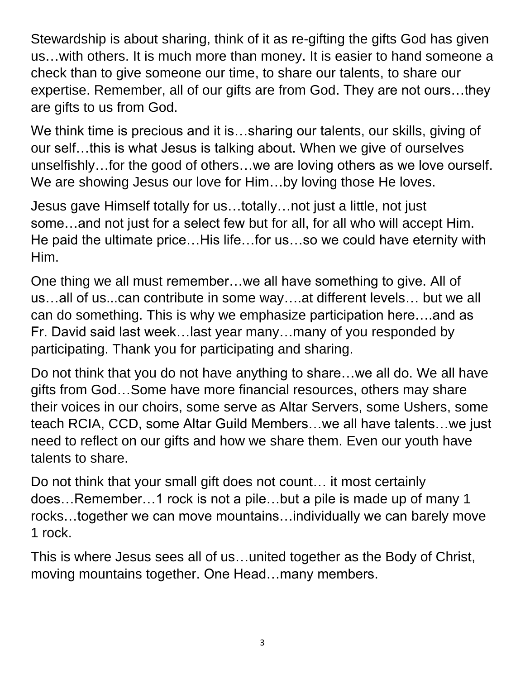Stewardship is about sharing, think of it as re-gifting the gifts God has given us…with others. It is much more than money. It is easier to hand someone a check than to give someone our time, to share our talents, to share our expertise. Remember, all of our gifts are from God. They are not ours…they are gifts to us from God.

We think time is precious and it is...sharing our talents, our skills, giving of our self…this is what Jesus is talking about. When we give of ourselves unselfishly…for the good of others…we are loving others as we love ourself. We are showing Jesus our love for Him...by loving those He loves.

Jesus gave Himself totally for us…totally…not just a little, not just some…and not just for a select few but for all, for all who will accept Him. He paid the ultimate price…His life…for us…so we could have eternity with Him.

One thing we all must remember…we all have something to give. All of us…all of us...can contribute in some way….at different levels… but we all can do something. This is why we emphasize participation here….and as Fr. David said last week…last year many…many of you responded by participating. Thank you for participating and sharing.

Do not think that you do not have anything to share…we all do. We all have gifts from God…Some have more financial resources, others may share their voices in our choirs, some serve as Altar Servers, some Ushers, some teach RCIA, CCD, some Altar Guild Members…we all have talents…we just need to reflect on our gifts and how we share them. Even our youth have talents to share.

Do not think that your small gift does not count… it most certainly does…Remember…1 rock is not a pile…but a pile is made up of many 1 rocks…together we can move mountains…individually we can barely move 1 rock.

This is where Jesus sees all of us…united together as the Body of Christ, moving mountains together. One Head…many members.